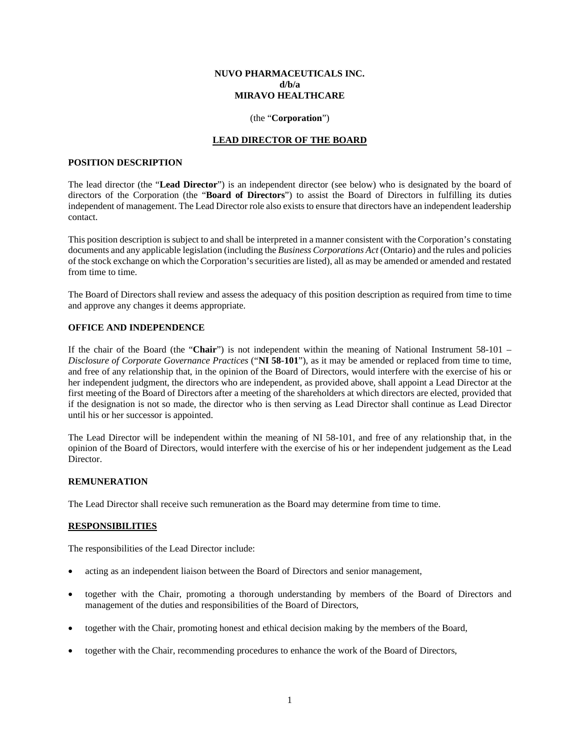#### **NUVO PHARMACEUTICALS INC. d/b/a MIRAVO HEALTHCARE**

#### (the "**Corporation**")

## **LEAD DIRECTOR OF THE BOARD**

#### **POSITION DESCRIPTION**

The lead director (the "**Lead Director**") is an independent director (see below) who is designated by the board of directors of the Corporation (the "**Board of Directors**") to assist the Board of Directors in fulfilling its duties independent of management. The Lead Director role also exists to ensure that directors have an independent leadership contact.

This position description is subject to and shall be interpreted in a manner consistent with the Corporation's constating documents and any applicable legislation (including the *Business Corporations Act* (Ontario) and the rules and policies of the stock exchange on which the Corporation's securities are listed), all as may be amended or amended and restated from time to time.

The Board of Directors shall review and assess the adequacy of this position description as required from time to time and approve any changes it deems appropriate.

### **OFFICE AND INDEPENDENCE**

If the chair of the Board (the "**Chair**") is not independent within the meaning of National Instrument 58-101 – *Disclosure of Corporate Governance Practices* ("**NI 58-101**"), as it may be amended or replaced from time to time, and free of any relationship that, in the opinion of the Board of Directors, would interfere with the exercise of his or her independent judgment, the directors who are independent, as provided above, shall appoint a Lead Director at the first meeting of the Board of Directors after a meeting of the shareholders at which directors are elected, provided that if the designation is not so made, the director who is then serving as Lead Director shall continue as Lead Director until his or her successor is appointed.

The Lead Director will be independent within the meaning of NI 58-101, and free of any relationship that, in the opinion of the Board of Directors, would interfere with the exercise of his or her independent judgement as the Lead Director.

#### **REMUNERATION**

The Lead Director shall receive such remuneration as the Board may determine from time to time.

# **RESPONSIBILITIES**

The responsibilities of the Lead Director include:

- acting as an independent liaison between the Board of Directors and senior management,
- together with the Chair, promoting a thorough understanding by members of the Board of Directors and management of the duties and responsibilities of the Board of Directors,
- together with the Chair, promoting honest and ethical decision making by the members of the Board,
- together with the Chair, recommending procedures to enhance the work of the Board of Directors,